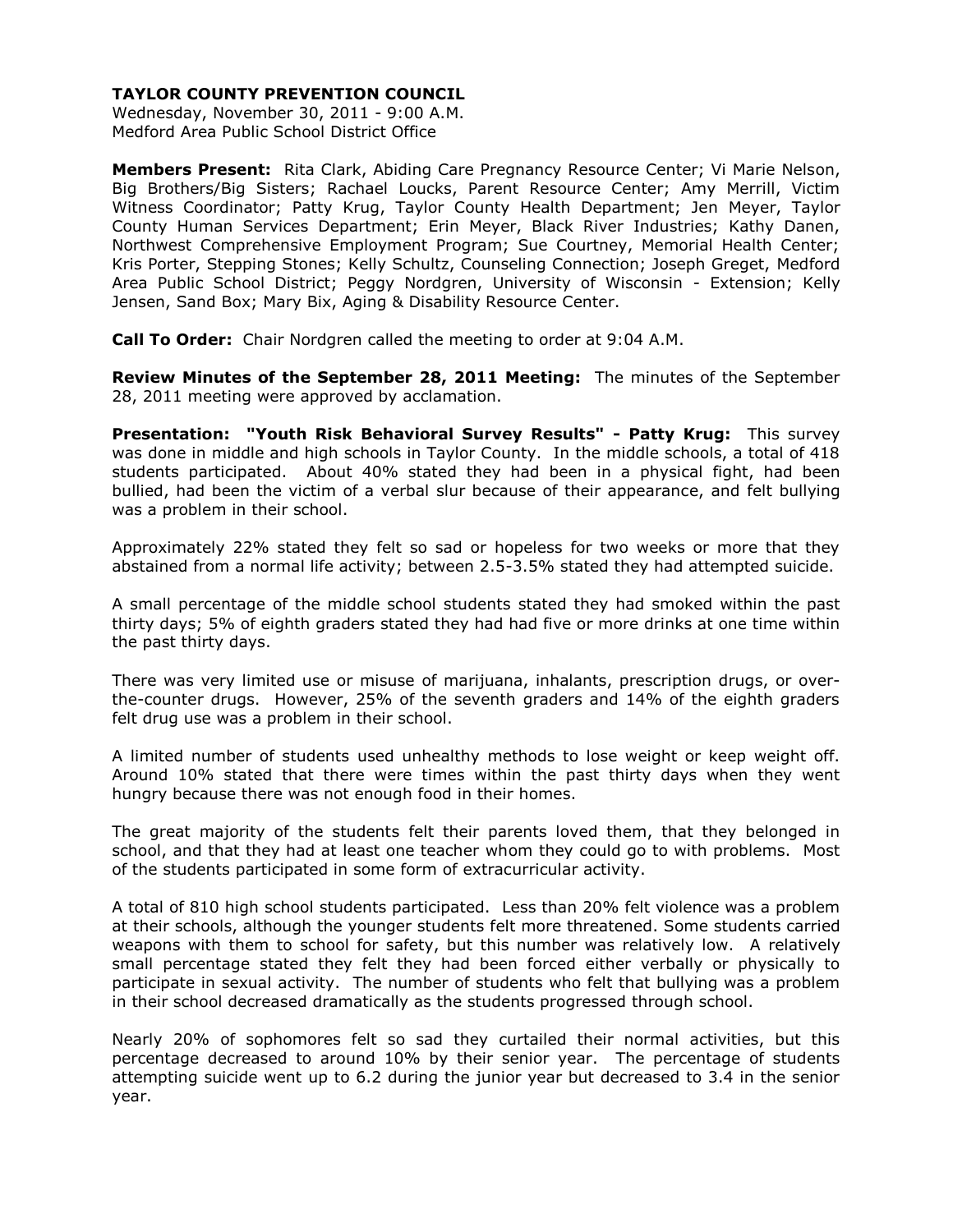Wednesday, November 30, 2011 - 9:00 A.M. Medford Area Public School District Office

**Members Present:** Rita Clark, Abiding Care Pregnancy Resource Center; Vi Marie Nelson, Big Brothers/Big Sisters; Rachael Loucks, Parent Resource Center; Amy Merrill, Victim Witness Coordinator; Patty Krug, Taylor County Health Department; Jen Meyer, Taylor County Human Services Department; Erin Meyer, Black River Industries; Kathy Danen, Northwest Comprehensive Employment Program; Sue Courtney, Memorial Health Center; Kris Porter, Stepping Stones; Kelly Schultz, Counseling Connection; Joseph Greget, Medford Area Public School District; Peggy Nordgren, University of Wisconsin - Extension; Kelly Jensen, Sand Box; Mary Bix, Aging & Disability Resource Center.

**Call To Order:** Chair Nordgren called the meeting to order at 9:04 A.M.

**Review Minutes of the September 28, 2011 Meeting:** The minutes of the September 28, 2011 meeting were approved by acclamation.

**Presentation: "Youth Risk Behavioral Survey Results" - Patty Krug:** This survey was done in middle and high schools in Taylor County. In the middle schools, a total of 418 students participated. About 40% stated they had been in a physical fight, had been bullied, had been the victim of a verbal slur because of their appearance, and felt bullying was a problem in their school.

Approximately 22% stated they felt so sad or hopeless for two weeks or more that they abstained from a normal life activity; between 2.5-3.5% stated they had attempted suicide.

A small percentage of the middle school students stated they had smoked within the past thirty days; 5% of eighth graders stated they had had five or more drinks at one time within the past thirty days.

There was very limited use or misuse of marijuana, inhalants, prescription drugs, or overthe-counter drugs. However, 25% of the seventh graders and 14% of the eighth graders felt drug use was a problem in their school.

A limited number of students used unhealthy methods to lose weight or keep weight off. Around 10% stated that there were times within the past thirty days when they went hungry because there was not enough food in their homes.

The great majority of the students felt their parents loved them, that they belonged in school, and that they had at least one teacher whom they could go to with problems. Most of the students participated in some form of extracurricular activity.

A total of 810 high school students participated. Less than 20% felt violence was a problem at their schools, although the younger students felt more threatened. Some students carried weapons with them to school for safety, but this number was relatively low. A relatively small percentage stated they felt they had been forced either verbally or physically to participate in sexual activity. The number of students who felt that bullying was a problem in their school decreased dramatically as the students progressed through school.

Nearly 20% of sophomores felt so sad they curtailed their normal activities, but this percentage decreased to around 10% by their senior year. The percentage of students attempting suicide went up to 6.2 during the junior year but decreased to 3.4 in the senior year.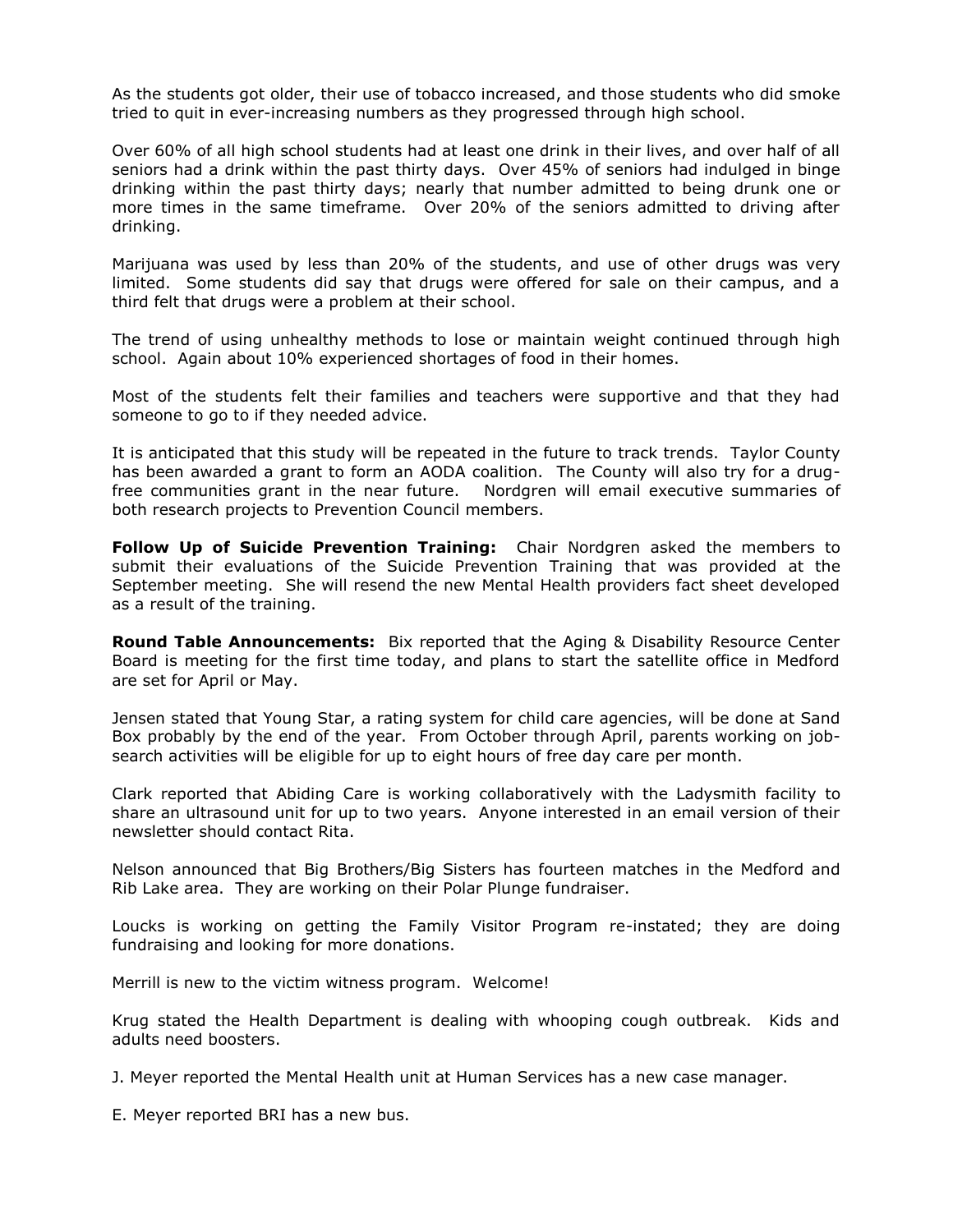As the students got older, their use of tobacco increased, and those students who did smoke tried to quit in ever-increasing numbers as they progressed through high school.

Over 60% of all high school students had at least one drink in their lives, and over half of all seniors had a drink within the past thirty days. Over 45% of seniors had indulged in binge drinking within the past thirty days; nearly that number admitted to being drunk one or more times in the same timeframe. Over 20% of the seniors admitted to driving after drinking.

Marijuana was used by less than 20% of the students, and use of other drugs was very limited. Some students did say that drugs were offered for sale on their campus, and a third felt that drugs were a problem at their school.

The trend of using unhealthy methods to lose or maintain weight continued through high school. Again about 10% experienced shortages of food in their homes.

Most of the students felt their families and teachers were supportive and that they had someone to go to if they needed advice.

It is anticipated that this study will be repeated in the future to track trends. Taylor County has been awarded a grant to form an AODA coalition. The County will also try for a drugfree communities grant in the near future. Nordgren will email executive summaries of both research projects to Prevention Council members.

**Follow Up of Suicide Prevention Training:** Chair Nordgren asked the members to submit their evaluations of the Suicide Prevention Training that was provided at the September meeting. She will resend the new Mental Health providers fact sheet developed as a result of the training.

**Round Table Announcements:** Bix reported that the Aging & Disability Resource Center Board is meeting for the first time today, and plans to start the satellite office in Medford are set for April or May.

Jensen stated that Young Star, a rating system for child care agencies, will be done at Sand Box probably by the end of the year. From October through April, parents working on jobsearch activities will be eligible for up to eight hours of free day care per month.

Clark reported that Abiding Care is working collaboratively with the Ladysmith facility to share an ultrasound unit for up to two years. Anyone interested in an email version of their newsletter should contact Rita.

Nelson announced that Big Brothers/Big Sisters has fourteen matches in the Medford and Rib Lake area. They are working on their Polar Plunge fundraiser.

Loucks is working on getting the Family Visitor Program re-instated; they are doing fundraising and looking for more donations.

Merrill is new to the victim witness program. Welcome!

Krug stated the Health Department is dealing with whooping cough outbreak. Kids and adults need boosters.

J. Meyer reported the Mental Health unit at Human Services has a new case manager.

E. Meyer reported BRI has a new bus.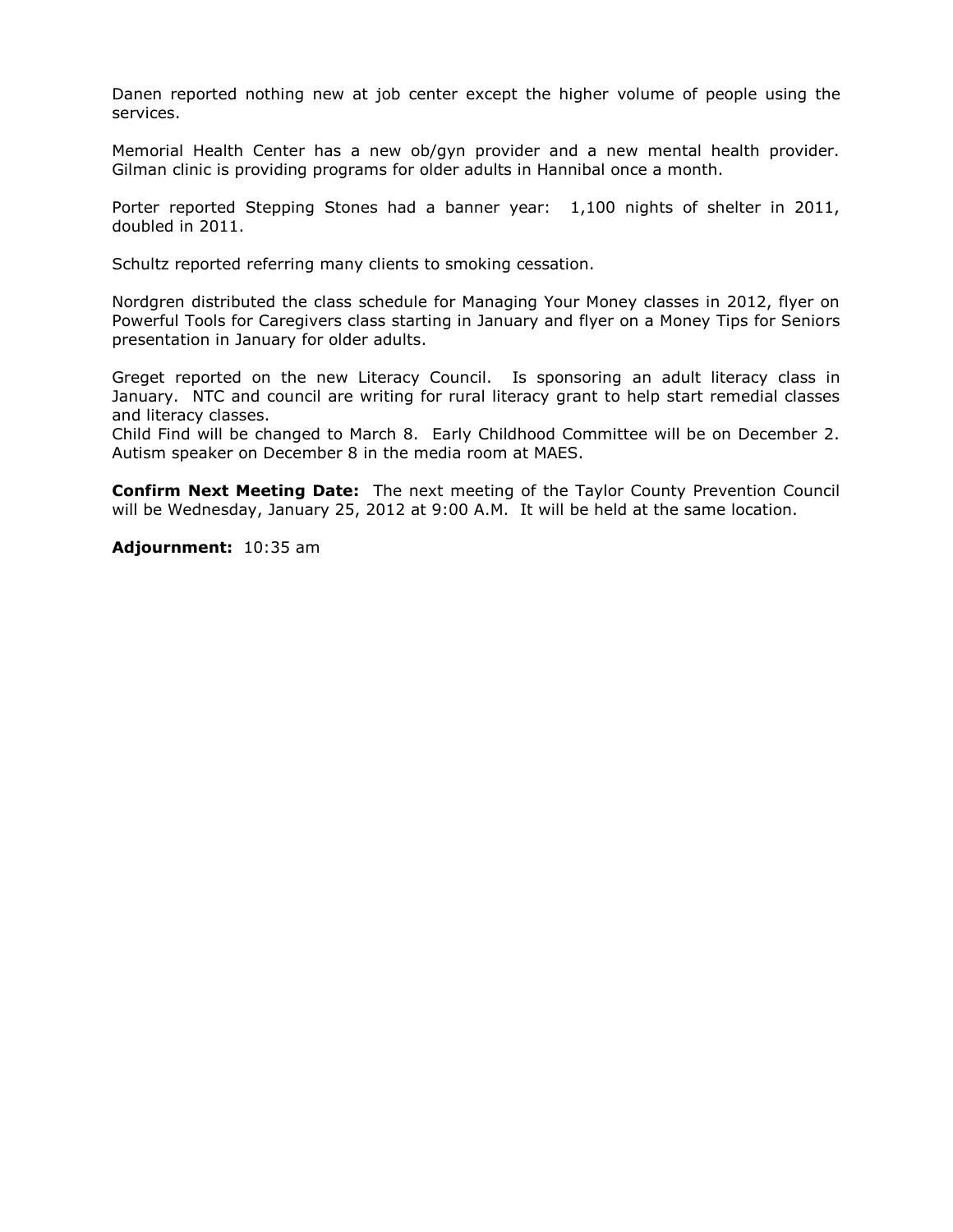Danen reported nothing new at job center except the higher volume of people using the services.

Memorial Health Center has a new ob/gyn provider and a new mental health provider. Gilman clinic is providing programs for older adults in Hannibal once a month.

Porter reported Stepping Stones had a banner year: 1,100 nights of shelter in 2011, doubled in 2011.

Schultz reported referring many clients to smoking cessation.

Nordgren distributed the class schedule for Managing Your Money classes in 2012, flyer on Powerful Tools for Caregivers class starting in January and flyer on a Money Tips for Seniors presentation in January for older adults.

Greget reported on the new Literacy Council. Is sponsoring an adult literacy class in January. NTC and council are writing for rural literacy grant to help start remedial classes and literacy classes.

Child Find will be changed to March 8. Early Childhood Committee will be on December 2. Autism speaker on December 8 in the media room at MAES.

**Confirm Next Meeting Date:** The next meeting of the Taylor County Prevention Council will be Wednesday, January 25, 2012 at 9:00 A.M. It will be held at the same location.

**Adjournment:** 10:35 am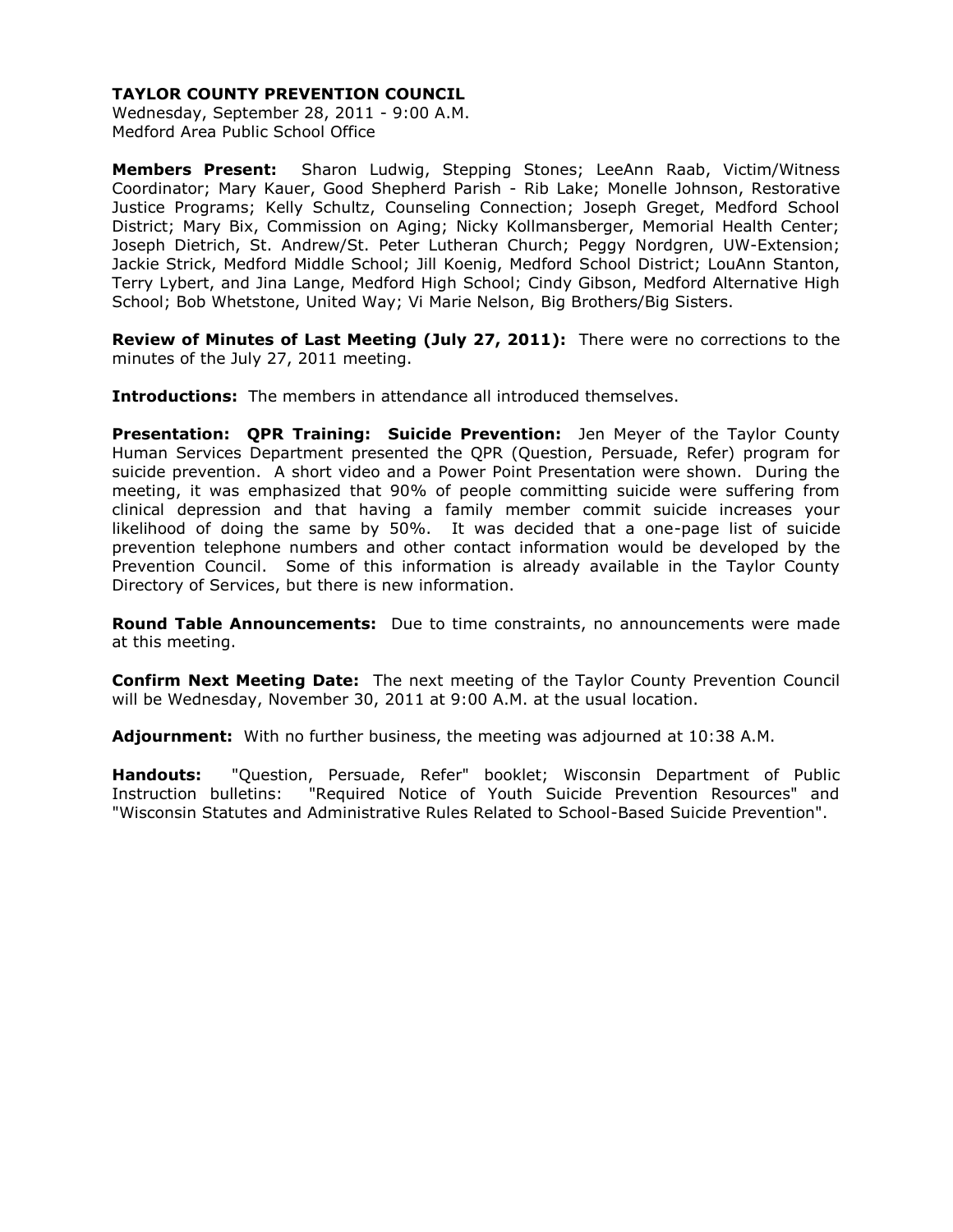Wednesday, September 28, 2011 - 9:00 A.M. Medford Area Public School Office

**Members Present:** Sharon Ludwig, Stepping Stones; LeeAnn Raab, Victim/Witness Coordinator; Mary Kauer, Good Shepherd Parish - Rib Lake; Monelle Johnson, Restorative Justice Programs; Kelly Schultz, Counseling Connection; Joseph Greget, Medford School District; Mary Bix, Commission on Aging; Nicky Kollmansberger, Memorial Health Center; Joseph Dietrich, St. Andrew/St. Peter Lutheran Church; Peggy Nordgren, UW-Extension; Jackie Strick, Medford Middle School; Jill Koenig, Medford School District; LouAnn Stanton, Terry Lybert, and Jina Lange, Medford High School; Cindy Gibson, Medford Alternative High School; Bob Whetstone, United Way; Vi Marie Nelson, Big Brothers/Big Sisters.

**Review of Minutes of Last Meeting (July 27, 2011):** There were no corrections to the minutes of the July 27, 2011 meeting.

**Introductions:** The members in attendance all introduced themselves.

**Presentation: QPR Training: Suicide Prevention:** Jen Meyer of the Taylor County Human Services Department presented the QPR (Question, Persuade, Refer) program for suicide prevention. A short video and a Power Point Presentation were shown. During the meeting, it was emphasized that 90% of people committing suicide were suffering from clinical depression and that having a family member commit suicide increases your likelihood of doing the same by 50%. It was decided that a one-page list of suicide prevention telephone numbers and other contact information would be developed by the Prevention Council. Some of this information is already available in the Taylor County Directory of Services, but there is new information.

**Round Table Announcements:** Due to time constraints, no announcements were made at this meeting.

**Confirm Next Meeting Date:** The next meeting of the Taylor County Prevention Council will be Wednesday, November 30, 2011 at 9:00 A.M. at the usual location.

**Adjournment:** With no further business, the meeting was adjourned at 10:38 A.M.

**Handouts:** "Question, Persuade, Refer" booklet; Wisconsin Department of Public Instruction bulletins: "Required Notice of Youth Suicide Prevention Resources" and "Wisconsin Statutes and Administrative Rules Related to School-Based Suicide Prevention".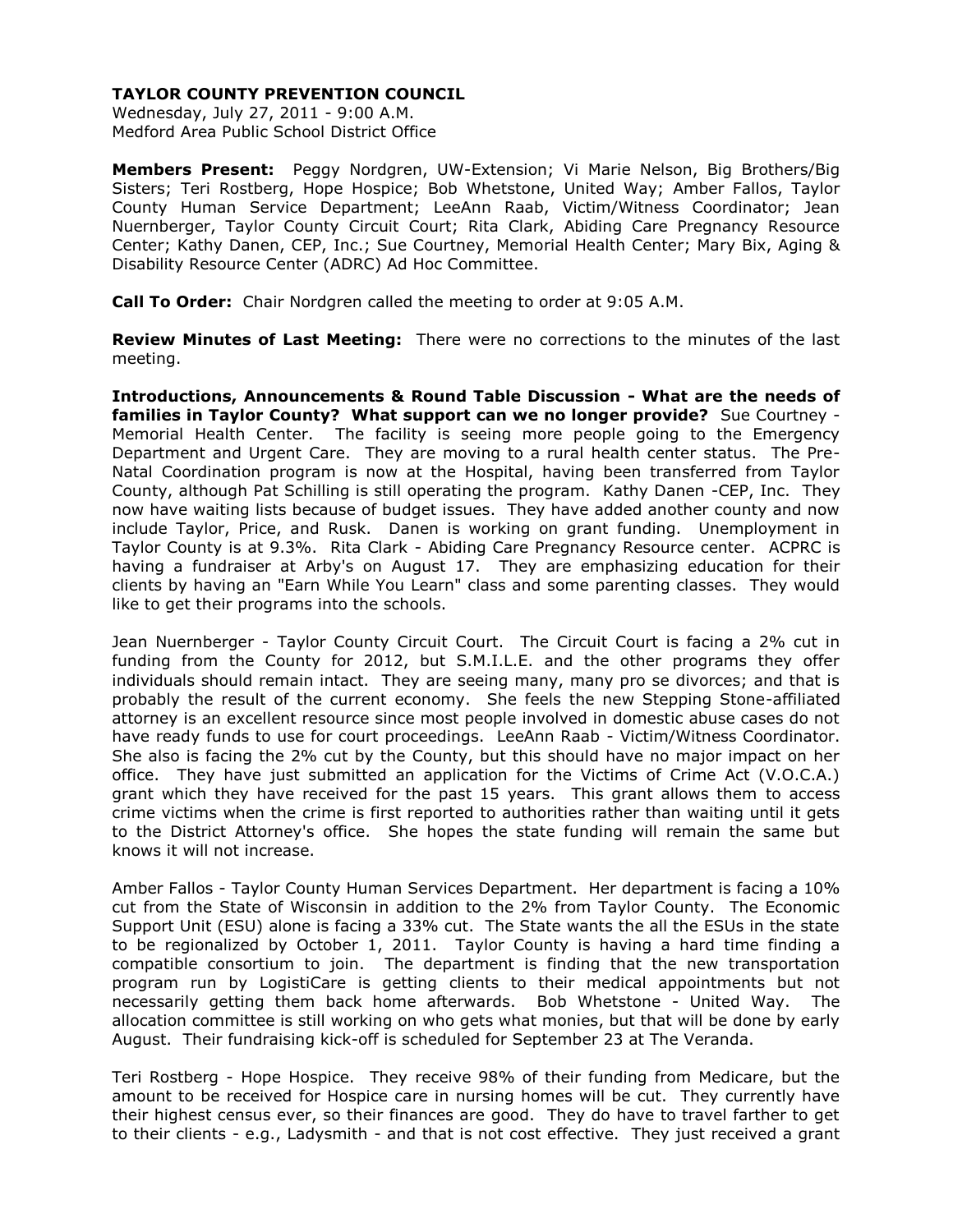Wednesday, July 27, 2011 - 9:00 A.M. Medford Area Public School District Office

**Members Present:** Peggy Nordgren, UW-Extension; Vi Marie Nelson, Big Brothers/Big Sisters; Teri Rostberg, Hope Hospice; Bob Whetstone, United Way; Amber Fallos, Taylor County Human Service Department; LeeAnn Raab, Victim/Witness Coordinator; Jean Nuernberger, Taylor County Circuit Court; Rita Clark, Abiding Care Pregnancy Resource Center; Kathy Danen, CEP, Inc.; Sue Courtney, Memorial Health Center; Mary Bix, Aging & Disability Resource Center (ADRC) Ad Hoc Committee.

**Call To Order:** Chair Nordgren called the meeting to order at 9:05 A.M.

**Review Minutes of Last Meeting:** There were no corrections to the minutes of the last meeting.

**Introductions, Announcements & Round Table Discussion - What are the needs of families in Taylor County? What support can we no longer provide?** Sue Courtney - Memorial Health Center. The facility is seeing more people going to the Emergency Department and Urgent Care. They are moving to a rural health center status. The Pre-Natal Coordination program is now at the Hospital, having been transferred from Taylor County, although Pat Schilling is still operating the program. Kathy Danen -CEP, Inc. They now have waiting lists because of budget issues. They have added another county and now include Taylor, Price, and Rusk. Danen is working on grant funding. Unemployment in Taylor County is at 9.3%. Rita Clark - Abiding Care Pregnancy Resource center. ACPRC is having a fundraiser at Arby's on August 17. They are emphasizing education for their clients by having an "Earn While You Learn" class and some parenting classes. They would like to get their programs into the schools.

Jean Nuernberger - Taylor County Circuit Court. The Circuit Court is facing a 2% cut in funding from the County for 2012, but S.M.I.L.E. and the other programs they offer individuals should remain intact. They are seeing many, many pro se divorces; and that is probably the result of the current economy. She feels the new Stepping Stone-affiliated attorney is an excellent resource since most people involved in domestic abuse cases do not have ready funds to use for court proceedings. LeeAnn Raab - Victim/Witness Coordinator. She also is facing the 2% cut by the County, but this should have no major impact on her office. They have just submitted an application for the Victims of Crime Act (V.O.C.A.) grant which they have received for the past 15 years. This grant allows them to access crime victims when the crime is first reported to authorities rather than waiting until it gets to the District Attorney's office. She hopes the state funding will remain the same but knows it will not increase.

Amber Fallos - Taylor County Human Services Department. Her department is facing a 10% cut from the State of Wisconsin in addition to the 2% from Taylor County. The Economic Support Unit (ESU) alone is facing a 33% cut. The State wants the all the ESUs in the state to be regionalized by October 1, 2011. Taylor County is having a hard time finding a compatible consortium to join. The department is finding that the new transportation program run by LogistiCare is getting clients to their medical appointments but not necessarily getting them back home afterwards. Bob Whetstone - United Way. The allocation committee is still working on who gets what monies, but that will be done by early August. Their fundraising kick-off is scheduled for September 23 at The Veranda.

Teri Rostberg - Hope Hospice. They receive 98% of their funding from Medicare, but the amount to be received for Hospice care in nursing homes will be cut. They currently have their highest census ever, so their finances are good. They do have to travel farther to get to their clients - e.g., Ladysmith - and that is not cost effective. They just received a grant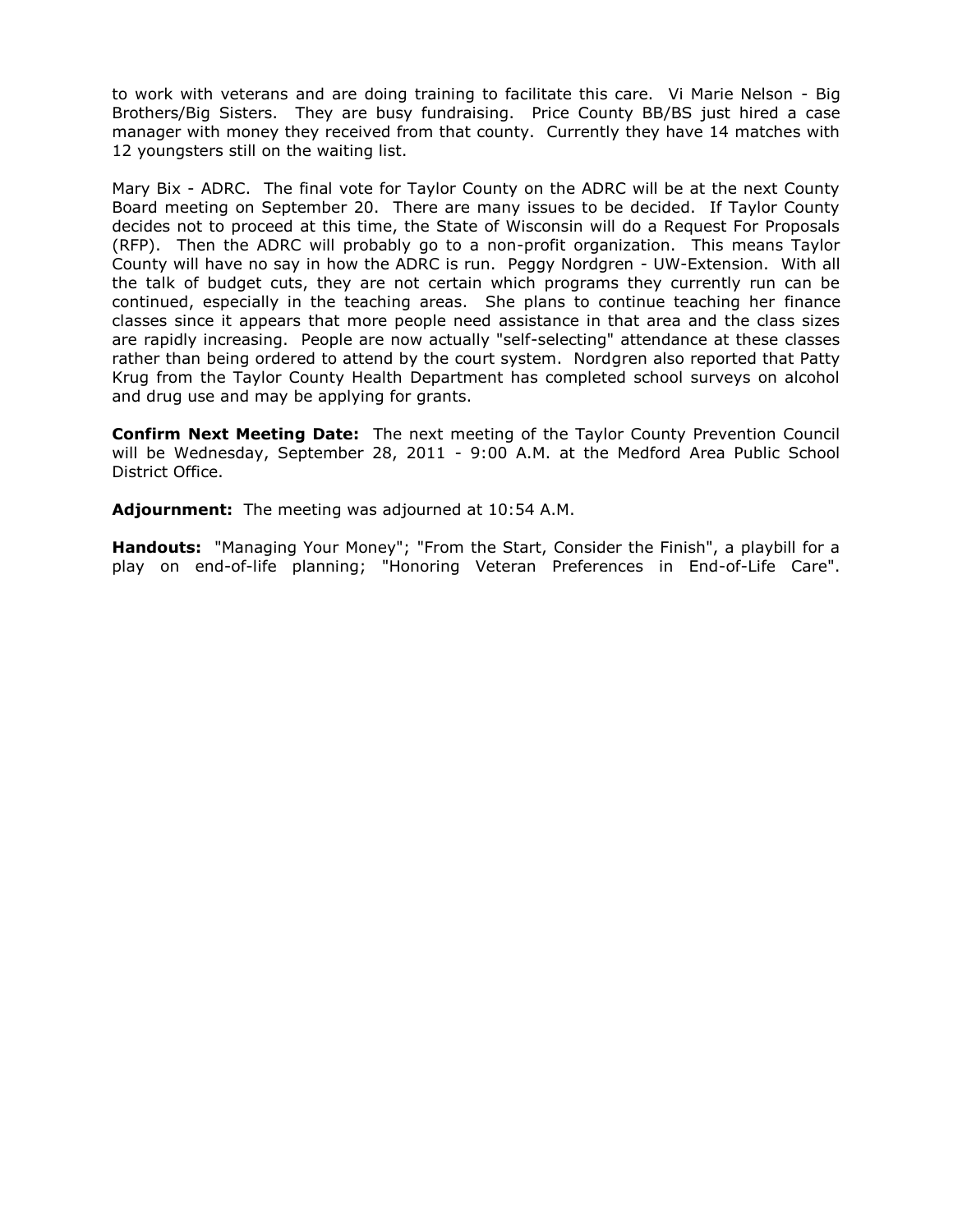to work with veterans and are doing training to facilitate this care. Vi Marie Nelson - Big Brothers/Big Sisters. They are busy fundraising. Price County BB/BS just hired a case manager with money they received from that county. Currently they have 14 matches with 12 youngsters still on the waiting list.

Mary Bix - ADRC. The final vote for Taylor County on the ADRC will be at the next County Board meeting on September 20. There are many issues to be decided. If Taylor County decides not to proceed at this time, the State of Wisconsin will do a Request For Proposals (RFP). Then the ADRC will probably go to a non-profit organization. This means Taylor County will have no say in how the ADRC is run. Peggy Nordgren - UW-Extension. With all the talk of budget cuts, they are not certain which programs they currently run can be continued, especially in the teaching areas. She plans to continue teaching her finance classes since it appears that more people need assistance in that area and the class sizes are rapidly increasing. People are now actually "self-selecting" attendance at these classes rather than being ordered to attend by the court system. Nordgren also reported that Patty Krug from the Taylor County Health Department has completed school surveys on alcohol and drug use and may be applying for grants.

**Confirm Next Meeting Date:** The next meeting of the Taylor County Prevention Council will be Wednesday, September 28, 2011 - 9:00 A.M. at the Medford Area Public School District Office.

**Adjournment:** The meeting was adjourned at 10:54 A.M.

**Handouts:** "Managing Your Money"; "From the Start, Consider the Finish", a playbill for a play on end-of-life planning; "Honoring Veteran Preferences in End-of-Life Care".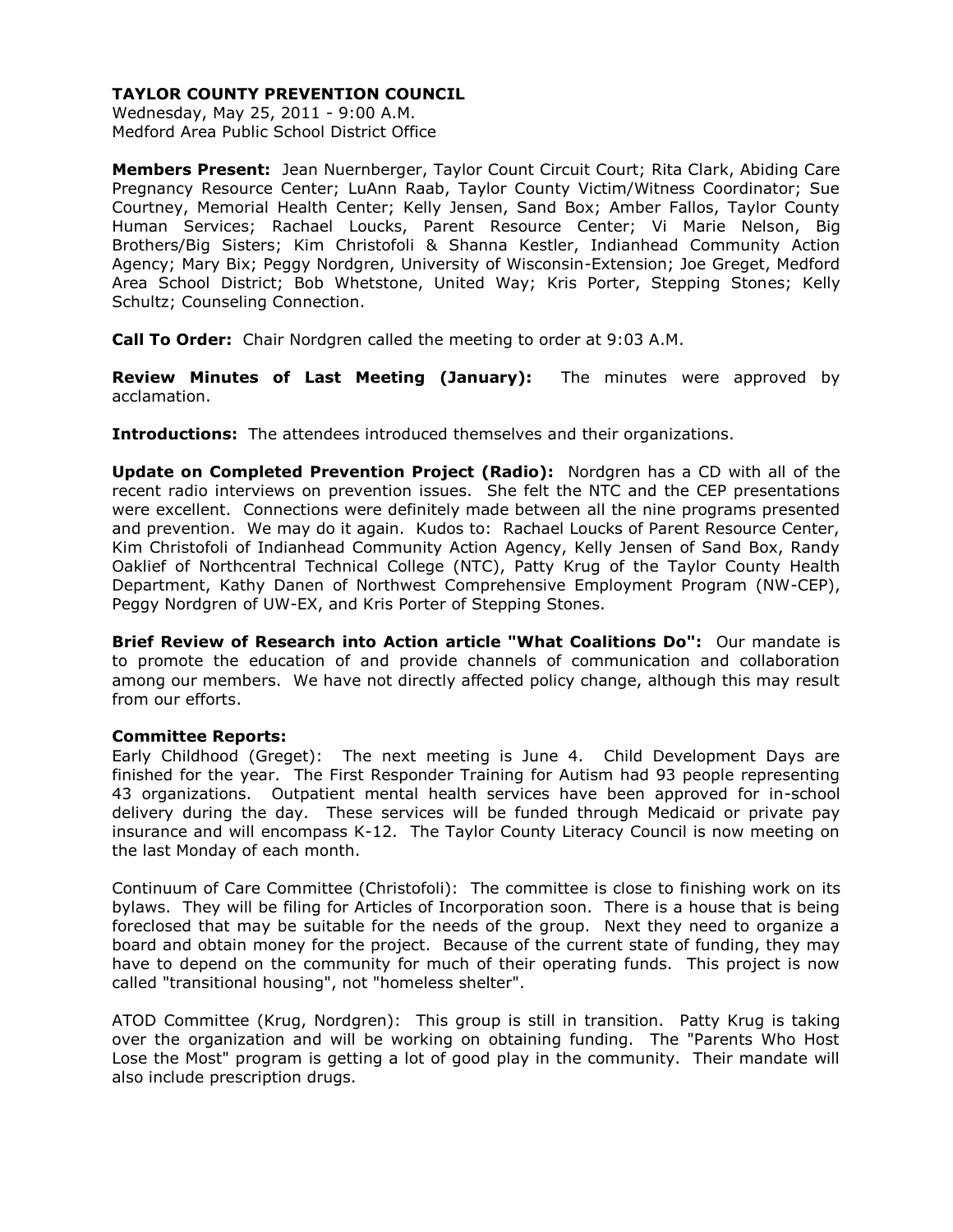Wednesday, May 25, 2011 - 9:00 A.M. Medford Area Public School District Office

**Members Present:** Jean Nuernberger, Taylor Count Circuit Court; Rita Clark, Abiding Care Pregnancy Resource Center; LuAnn Raab, Taylor County Victim/Witness Coordinator; Sue Courtney, Memorial Health Center; Kelly Jensen, Sand Box; Amber Fallos, Taylor County Human Services; Rachael Loucks, Parent Resource Center; Vi Marie Nelson, Big Brothers/Big Sisters; Kim Christofoli & Shanna Kestler, Indianhead Community Action Agency; Mary Bix; Peggy Nordgren, University of Wisconsin-Extension; Joe Greget, Medford Area School District; Bob Whetstone, United Way; Kris Porter, Stepping Stones; Kelly Schultz; Counseling Connection.

**Call To Order:** Chair Nordgren called the meeting to order at 9:03 A.M.

**Review Minutes of Last Meeting (January):** The minutes were approved by acclamation.

**Introductions:** The attendees introduced themselves and their organizations.

**Update on Completed Prevention Project (Radio):** Nordgren has a CD with all of the recent radio interviews on prevention issues. She felt the NTC and the CEP presentations were excellent. Connections were definitely made between all the nine programs presented and prevention. We may do it again. Kudos to: Rachael Loucks of Parent Resource Center, Kim Christofoli of Indianhead Community Action Agency, Kelly Jensen of Sand Box, Randy Oaklief of Northcentral Technical College (NTC), Patty Krug of the Taylor County Health Department, Kathy Danen of Northwest Comprehensive Employment Program (NW-CEP), Peggy Nordgren of UW-EX, and Kris Porter of Stepping Stones.

**Brief Review of Research into Action article "What Coalitions Do":** Our mandate is to promote the education of and provide channels of communication and collaboration among our members. We have not directly affected policy change, although this may result from our efforts.

## **Committee Reports:**

Early Childhood (Greget): The next meeting is June 4. Child Development Days are finished for the year. The First Responder Training for Autism had 93 people representing 43 organizations. Outpatient mental health services have been approved for in-school delivery during the day. These services will be funded through Medicaid or private pay insurance and will encompass K-12. The Taylor County Literacy Council is now meeting on the last Monday of each month.

Continuum of Care Committee (Christofoli): The committee is close to finishing work on its bylaws. They will be filing for Articles of Incorporation soon. There is a house that is being foreclosed that may be suitable for the needs of the group. Next they need to organize a board and obtain money for the project. Because of the current state of funding, they may have to depend on the community for much of their operating funds. This project is now called "transitional housing", not "homeless shelter".

ATOD Committee (Krug, Nordgren): This group is still in transition. Patty Krug is taking over the organization and will be working on obtaining funding. The "Parents Who Host Lose the Most" program is getting a lot of good play in the community. Their mandate will also include prescription drugs.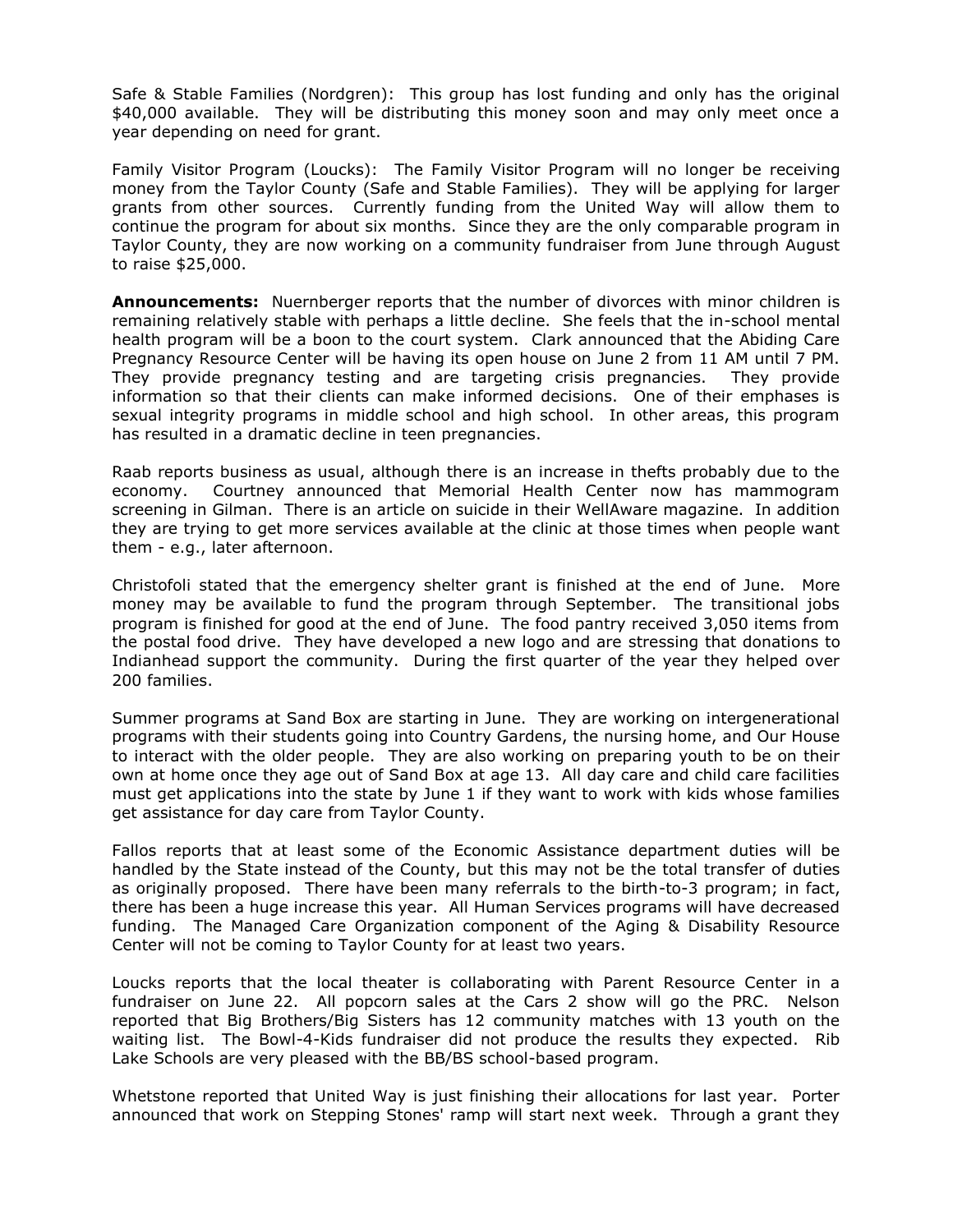Safe & Stable Families (Nordgren): This group has lost funding and only has the original \$40,000 available. They will be distributing this money soon and may only meet once a year depending on need for grant.

Family Visitor Program (Loucks): The Family Visitor Program will no longer be receiving money from the Taylor County (Safe and Stable Families). They will be applying for larger grants from other sources. Currently funding from the United Way will allow them to continue the program for about six months. Since they are the only comparable program in Taylor County, they are now working on a community fundraiser from June through August to raise \$25,000.

**Announcements:** Nuernberger reports that the number of divorces with minor children is remaining relatively stable with perhaps a little decline. She feels that the in-school mental health program will be a boon to the court system. Clark announced that the Abiding Care Pregnancy Resource Center will be having its open house on June 2 from 11 AM until 7 PM. They provide pregnancy testing and are targeting crisis pregnancies. They provide information so that their clients can make informed decisions. One of their emphases is sexual integrity programs in middle school and high school. In other areas, this program has resulted in a dramatic decline in teen pregnancies.

Raab reports business as usual, although there is an increase in thefts probably due to the economy. Courtney announced that Memorial Health Center now has mammogram screening in Gilman. There is an article on suicide in their WellAware magazine. In addition they are trying to get more services available at the clinic at those times when people want them - e.g., later afternoon.

Christofoli stated that the emergency shelter grant is finished at the end of June. More money may be available to fund the program through September. The transitional jobs program is finished for good at the end of June. The food pantry received 3,050 items from the postal food drive. They have developed a new logo and are stressing that donations to Indianhead support the community. During the first quarter of the year they helped over 200 families.

Summer programs at Sand Box are starting in June. They are working on intergenerational programs with their students going into Country Gardens, the nursing home, and Our House to interact with the older people. They are also working on preparing youth to be on their own at home once they age out of Sand Box at age 13. All day care and child care facilities must get applications into the state by June 1 if they want to work with kids whose families get assistance for day care from Taylor County.

Fallos reports that at least some of the Economic Assistance department duties will be handled by the State instead of the County, but this may not be the total transfer of duties as originally proposed. There have been many referrals to the birth-to-3 program; in fact, there has been a huge increase this year. All Human Services programs will have decreased funding. The Managed Care Organization component of the Aging & Disability Resource Center will not be coming to Taylor County for at least two years.

Loucks reports that the local theater is collaborating with Parent Resource Center in a fundraiser on June 22. All popcorn sales at the Cars 2 show will go the PRC. Nelson reported that Big Brothers/Big Sisters has 12 community matches with 13 youth on the waiting list. The Bowl-4-Kids fundraiser did not produce the results they expected. Rib Lake Schools are very pleased with the BB/BS school-based program.

Whetstone reported that United Way is just finishing their allocations for last year. Porter announced that work on Stepping Stones' ramp will start next week. Through a grant they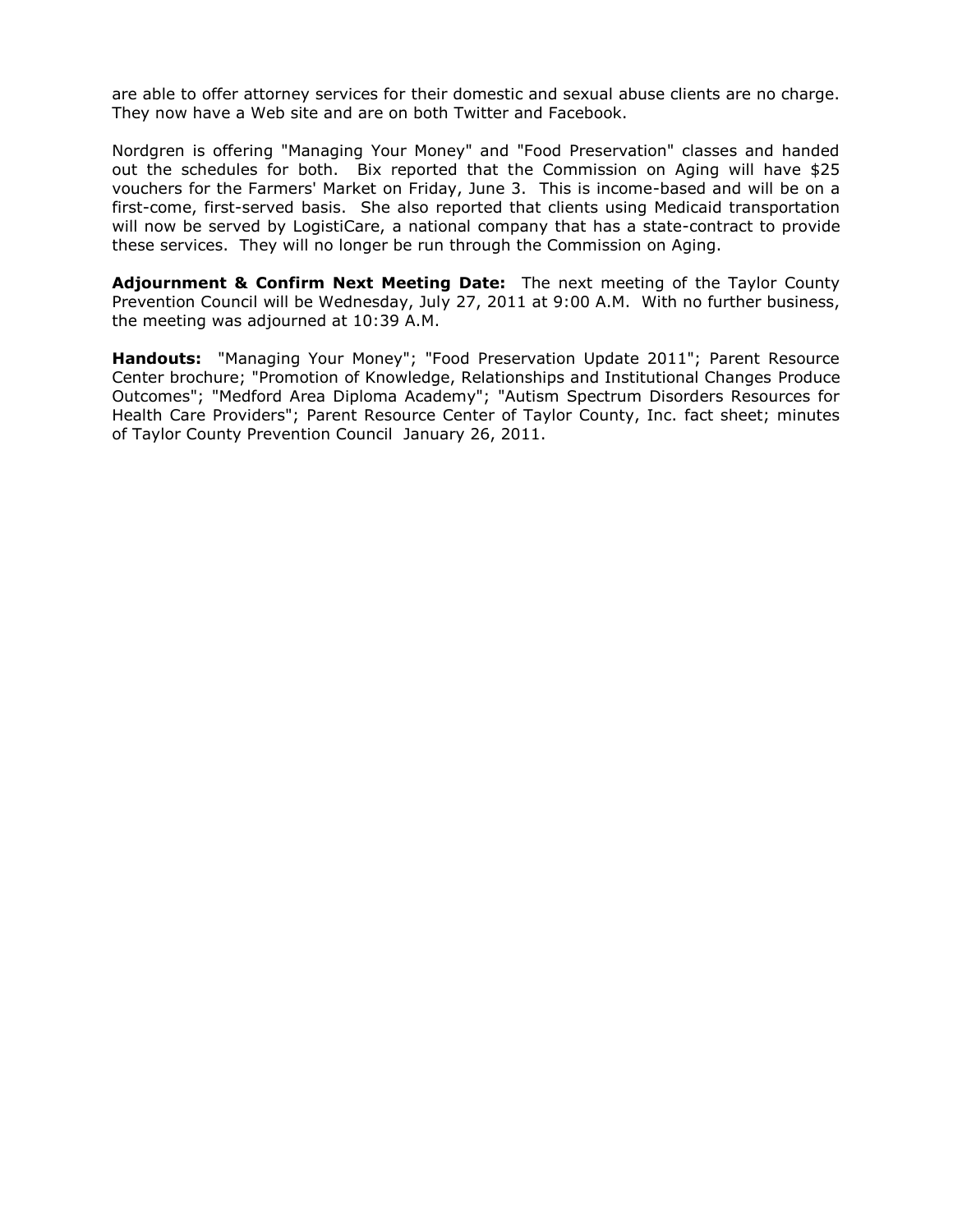are able to offer attorney services for their domestic and sexual abuse clients are no charge. They now have a Web site and are on both Twitter and Facebook.

Nordgren is offering "Managing Your Money" and "Food Preservation" classes and handed out the schedules for both. Bix reported that the Commission on Aging will have \$25 vouchers for the Farmers' Market on Friday, June 3. This is income-based and will be on a first-come, first-served basis. She also reported that clients using Medicaid transportation will now be served by LogistiCare, a national company that has a state-contract to provide these services. They will no longer be run through the Commission on Aging.

**Adjournment & Confirm Next Meeting Date:** The next meeting of the Taylor County Prevention Council will be Wednesday, July 27, 2011 at 9:00 A.M. With no further business, the meeting was adjourned at 10:39 A.M.

**Handouts:** "Managing Your Money"; "Food Preservation Update 2011"; Parent Resource Center brochure; "Promotion of Knowledge, Relationships and Institutional Changes Produce Outcomes"; "Medford Area Diploma Academy"; "Autism Spectrum Disorders Resources for Health Care Providers"; Parent Resource Center of Taylor County, Inc. fact sheet; minutes of Taylor County Prevention Council January 26, 2011.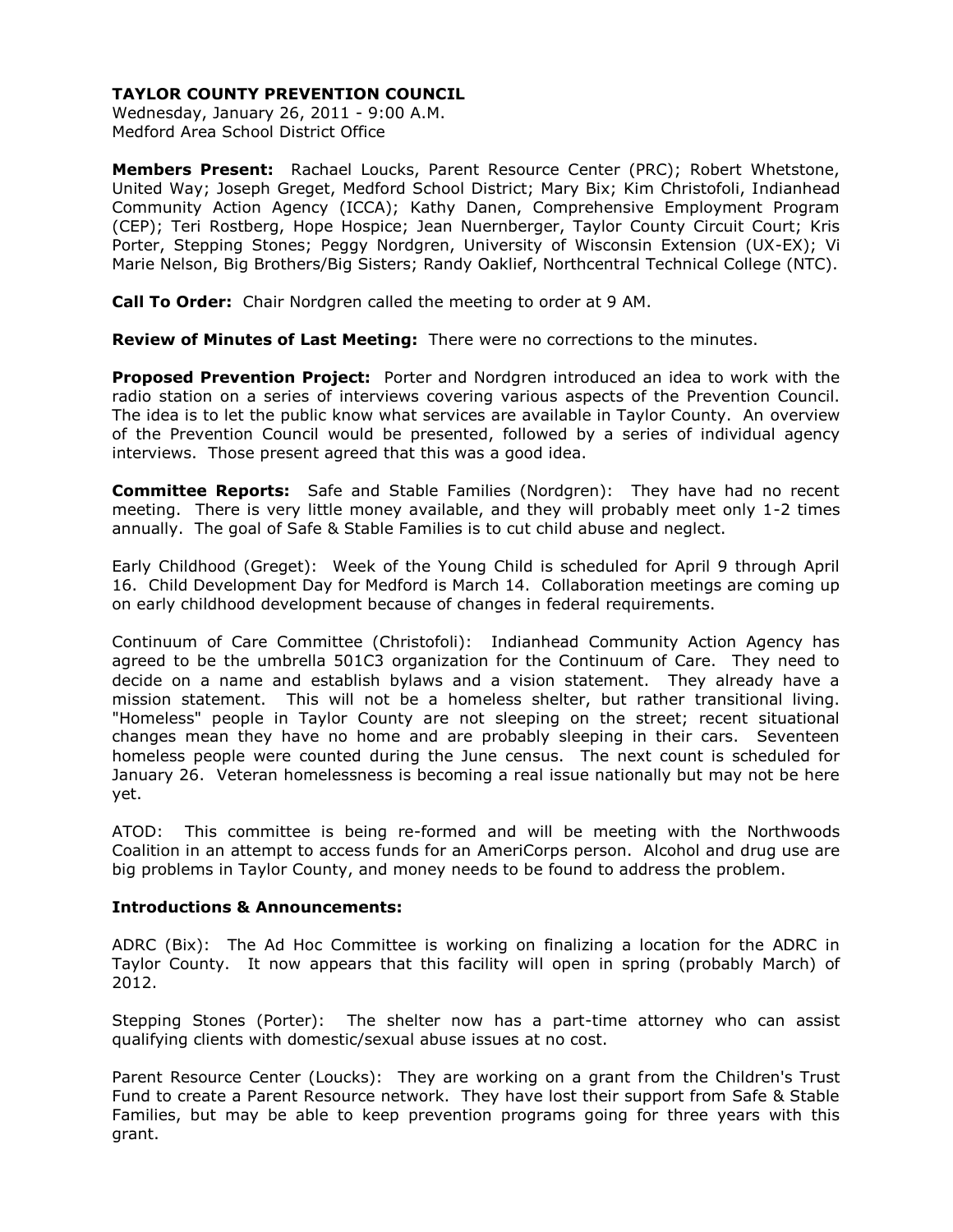Wednesday, January 26, 2011 - 9:00 A.M. Medford Area School District Office

**Members Present:** Rachael Loucks, Parent Resource Center (PRC); Robert Whetstone, United Way; Joseph Greget, Medford School District; Mary Bix; Kim Christofoli, Indianhead Community Action Agency (ICCA); Kathy Danen, Comprehensive Employment Program (CEP); Teri Rostberg, Hope Hospice; Jean Nuernberger, Taylor County Circuit Court; Kris Porter, Stepping Stones; Peggy Nordgren, University of Wisconsin Extension (UX-EX); Vi Marie Nelson, Big Brothers/Big Sisters; Randy Oaklief, Northcentral Technical College (NTC).

**Call To Order:** Chair Nordgren called the meeting to order at 9 AM.

**Review of Minutes of Last Meeting:** There were no corrections to the minutes.

**Proposed Prevention Project:** Porter and Nordgren introduced an idea to work with the radio station on a series of interviews covering various aspects of the Prevention Council. The idea is to let the public know what services are available in Taylor County. An overview of the Prevention Council would be presented, followed by a series of individual agency interviews. Those present agreed that this was a good idea.

**Committee Reports:** Safe and Stable Families (Nordgren): They have had no recent meeting. There is very little money available, and they will probably meet only 1-2 times annually. The goal of Safe & Stable Families is to cut child abuse and neglect.

Early Childhood (Greget): Week of the Young Child is scheduled for April 9 through April 16. Child Development Day for Medford is March 14. Collaboration meetings are coming up on early childhood development because of changes in federal requirements.

Continuum of Care Committee (Christofoli): Indianhead Community Action Agency has agreed to be the umbrella 501C3 organization for the Continuum of Care. They need to decide on a name and establish bylaws and a vision statement. They already have a mission statement. This will not be a homeless shelter, but rather transitional living. "Homeless" people in Taylor County are not sleeping on the street; recent situational changes mean they have no home and are probably sleeping in their cars. Seventeen homeless people were counted during the June census. The next count is scheduled for January 26. Veteran homelessness is becoming a real issue nationally but may not be here yet.

ATOD: This committee is being re-formed and will be meeting with the Northwoods Coalition in an attempt to access funds for an AmeriCorps person. Alcohol and drug use are big problems in Taylor County, and money needs to be found to address the problem.

#### **Introductions & Announcements:**

ADRC (Bix): The Ad Hoc Committee is working on finalizing a location for the ADRC in Taylor County. It now appears that this facility will open in spring (probably March) of 2012.

Stepping Stones (Porter): The shelter now has a part-time attorney who can assist qualifying clients with domestic/sexual abuse issues at no cost.

Parent Resource Center (Loucks): They are working on a grant from the Children's Trust Fund to create a Parent Resource network. They have lost their support from Safe & Stable Families, but may be able to keep prevention programs going for three years with this grant.